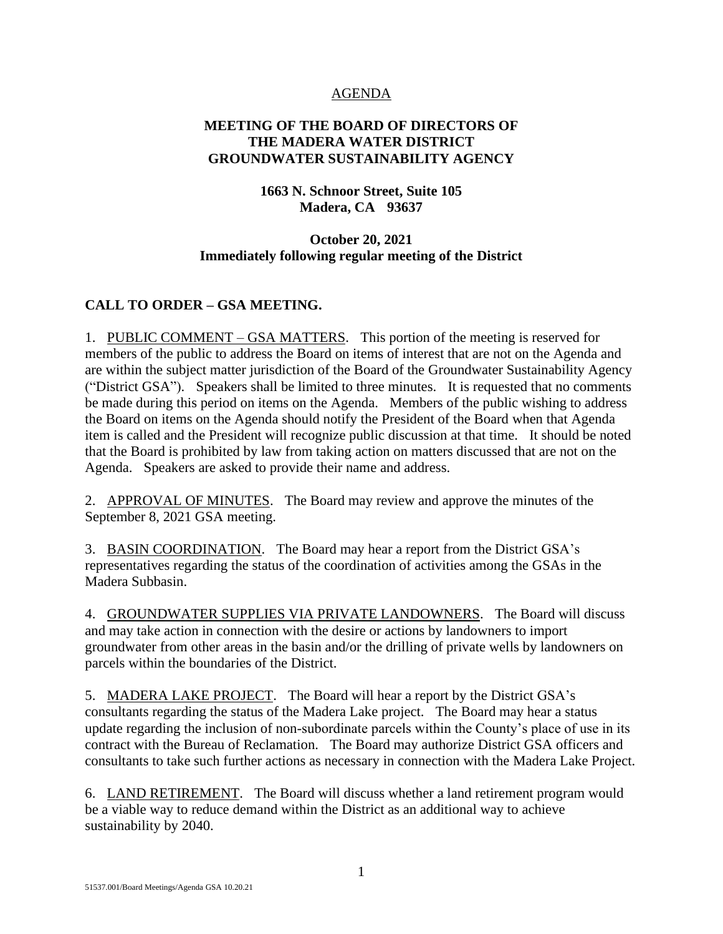### AGENDA

## **MEETING OF THE BOARD OF DIRECTORS OF THE MADERA WATER DISTRICT GROUNDWATER SUSTAINABILITY AGENCY**

## **1663 N. Schnoor Street, Suite 105 Madera, CA 93637**

### **October 20, 2021 Immediately following regular meeting of the District**

# **CALL TO ORDER – GSA MEETING.**

1. PUBLIC COMMENT – GSA MATTERS. This portion of the meeting is reserved for members of the public to address the Board on items of interest that are not on the Agenda and are within the subject matter jurisdiction of the Board of the Groundwater Sustainability Agency ("District GSA"). Speakers shall be limited to three minutes. It is requested that no comments be made during this period on items on the Agenda. Members of the public wishing to address the Board on items on the Agenda should notify the President of the Board when that Agenda item is called and the President will recognize public discussion at that time. It should be noted that the Board is prohibited by law from taking action on matters discussed that are not on the Agenda. Speakers are asked to provide their name and address.

2. APPROVAL OF MINUTES. The Board may review and approve the minutes of the September 8, 2021 GSA meeting.

3. BASIN COORDINATION. The Board may hear a report from the District GSA's representatives regarding the status of the coordination of activities among the GSAs in the Madera Subbasin.

4. GROUNDWATER SUPPLIES VIA PRIVATE LANDOWNERS. The Board will discuss and may take action in connection with the desire or actions by landowners to import groundwater from other areas in the basin and/or the drilling of private wells by landowners on parcels within the boundaries of the District.

5. MADERA LAKE PROJECT. The Board will hear a report by the District GSA's consultants regarding the status of the Madera Lake project. The Board may hear a status update regarding the inclusion of non-subordinate parcels within the County's place of use in its contract with the Bureau of Reclamation. The Board may authorize District GSA officers and consultants to take such further actions as necessary in connection with the Madera Lake Project.

6. LAND RETIREMENT. The Board will discuss whether a land retirement program would be a viable way to reduce demand within the District as an additional way to achieve sustainability by 2040.